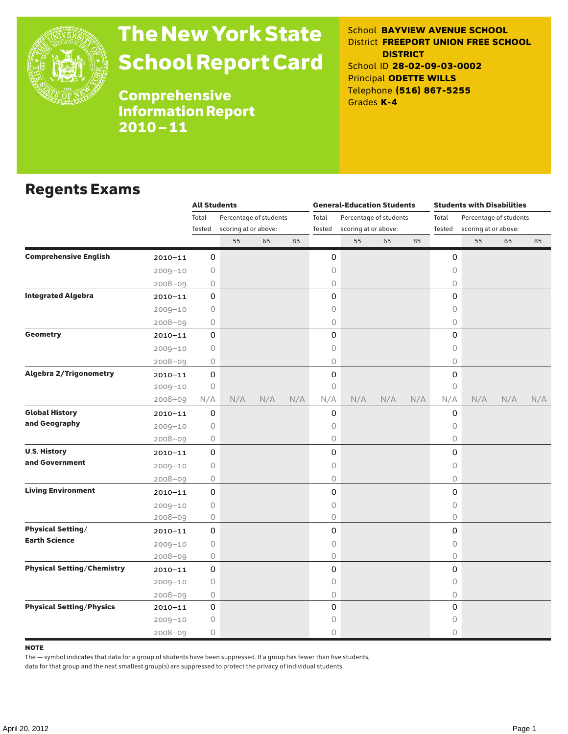

# The New York State School Report Card

School **BAYVIEW AVENUE SCHOOL** District **FREEPORT UNION FREE SCHOOL DISTRICT** School ID **28-02-09-03-0002** Principal **ODETTE WILLS** Telephone **(516) 867-5255** Grades **K-4**

Comprehensive Information Report 2010–11

### Regents Exams

|                                   |             | <b>All Students</b> |                                                |     |     |                 | <b>General-Education Students</b> |                        |     | <b>Students with Disabilities</b> |                        |     |     |  |
|-----------------------------------|-------------|---------------------|------------------------------------------------|-----|-----|-----------------|-----------------------------------|------------------------|-----|-----------------------------------|------------------------|-----|-----|--|
|                                   |             | Total               | Percentage of students<br>scoring at or above: |     |     | Total<br>Tested |                                   | Percentage of students |     | Total<br>Tested                   | Percentage of students |     |     |  |
|                                   |             | Tested              |                                                |     |     |                 | scoring at or above:              |                        |     |                                   | scoring at or above:   |     |     |  |
|                                   |             |                     | 55                                             | 65  | 85  |                 | 55                                | 65                     | 85  |                                   | 55                     | 65  | 85  |  |
| <b>Comprehensive English</b>      | $2010 - 11$ | 0                   |                                                |     |     | 0               |                                   |                        |     | 0                                 |                        |     |     |  |
|                                   | $2009 - 10$ | 0                   |                                                |     |     | 0               |                                   |                        |     | 0                                 |                        |     |     |  |
|                                   | $2008 - 09$ | 0                   |                                                |     |     | 0               |                                   |                        |     | $\bigcirc$                        |                        |     |     |  |
| <b>Integrated Algebra</b>         | $2010 - 11$ | 0                   |                                                |     |     | 0               |                                   |                        |     | 0                                 |                        |     |     |  |
|                                   | $2009 - 10$ | 0                   |                                                |     |     | 0               |                                   |                        |     | $\circ$                           |                        |     |     |  |
|                                   | $2008 - 09$ | 0                   |                                                |     |     | 0               |                                   |                        |     | $\circ$                           |                        |     |     |  |
| <b>Geometry</b>                   | $2010 - 11$ | $\mathbf 0$         |                                                |     |     | 0               |                                   |                        |     | $\Omega$                          |                        |     |     |  |
|                                   | $2009 - 10$ | 0                   |                                                |     |     | 0               |                                   |                        |     | 0                                 |                        |     |     |  |
|                                   | $2008 - 09$ | 0                   |                                                |     |     | 0               |                                   |                        |     | 0                                 |                        |     |     |  |
| <b>Algebra 2/Trigonometry</b>     | $2010 - 11$ | 0                   |                                                |     |     | 0               |                                   |                        |     | $\mathsf{O}\xspace$               |                        |     |     |  |
|                                   | $2009 - 10$ | $\bigcirc$          |                                                |     |     | 0               |                                   |                        |     | $\circ$                           |                        |     |     |  |
|                                   | $2008 - 09$ | N/A                 | N/A                                            | N/A | N/A | N/A             | N/A                               | N/A                    | N/A | N/A                               | N/A                    | N/A | N/A |  |
| <b>Global History</b>             | $2010 - 11$ | 0                   |                                                |     |     | 0               |                                   |                        |     | 0                                 |                        |     |     |  |
| and Geography                     | $2009 - 10$ | 0                   |                                                |     |     | 0               |                                   |                        |     | 0                                 |                        |     |     |  |
|                                   | $2008 - 09$ | 0                   |                                                |     |     | 0               |                                   |                        |     | 0                                 |                        |     |     |  |
| <b>U.S. History</b>               | 2010-11     | 0                   |                                                |     |     | 0               |                                   |                        |     | 0                                 |                        |     |     |  |
| and Government                    | $2009 - 10$ | 0                   |                                                |     |     | 0               |                                   |                        |     | $\bigcirc$                        |                        |     |     |  |
|                                   | $2008 - 09$ | 0                   |                                                |     |     | 0               |                                   |                        |     | $\circ$                           |                        |     |     |  |
| <b>Living Environment</b>         | $2010 - 11$ | 0                   |                                                |     |     | 0               |                                   |                        |     | $\mathsf{O}$                      |                        |     |     |  |
|                                   | $2009 - 10$ | $\circ$             |                                                |     |     | 0               |                                   |                        |     | $\circ$                           |                        |     |     |  |
|                                   | $2008 - 09$ | $\bigcirc$          |                                                |     |     | 0               |                                   |                        |     | $\circ$                           |                        |     |     |  |
| <b>Physical Setting/</b>          | $2010 - 11$ | 0                   |                                                |     |     | 0               |                                   |                        |     | 0                                 |                        |     |     |  |
| <b>Earth Science</b>              | $2009 - 10$ | 0                   |                                                |     |     | 0               |                                   |                        |     | $\circ$                           |                        |     |     |  |
|                                   | $2008 - 09$ | 0                   |                                                |     |     | 0               |                                   |                        |     | 0                                 |                        |     |     |  |
| <b>Physical Setting/Chemistry</b> | $2010 - 11$ | 0                   |                                                |     |     | 0               |                                   |                        |     | 0                                 |                        |     |     |  |
|                                   | $2009 - 10$ | $\circ$             |                                                |     |     | 0               |                                   |                        |     | $\circ$                           |                        |     |     |  |
|                                   | $2008 - 09$ | 0                   |                                                |     |     | 0               |                                   |                        |     | $\circ$                           |                        |     |     |  |
| <b>Physical Setting/Physics</b>   | $2010 - 11$ | 0                   |                                                |     |     | 0               |                                   |                        |     | 0                                 |                        |     |     |  |
|                                   | $2009 - 10$ | 0                   |                                                |     |     | 0               |                                   |                        |     | 0                                 |                        |     |     |  |
|                                   | $2008 - 09$ | 0                   |                                                |     |     | 0               |                                   |                        |     | $\circ$                           |                        |     |     |  |

#### **NOTE**

The — symbol indicates that data for a group of students have been suppressed. If a group has fewer than five students,

data for that group and the next smallest group(s) are suppressed to protect the privacy of individual students.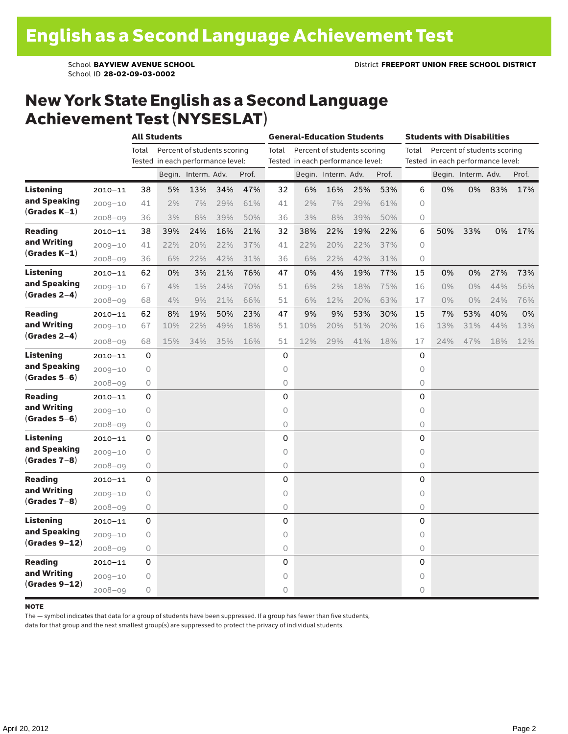School **BAYVIEW AVENUE SCHOOL** District **FREEPORT UNION FREE SCHOOL DISTRICT** School ID **28-02-09-03-0002**

### New York State English as a Second Language Achievement Test (NYSESLAT)

|                                                     |             | <b>All Students</b>                  |     |                     |     |       |       | <b>General-Education Students</b> |                             |     | <b>Students with Disabilities</b> |                                      |                                   |                     |     |       |  |
|-----------------------------------------------------|-------------|--------------------------------------|-----|---------------------|-----|-------|-------|-----------------------------------|-----------------------------|-----|-----------------------------------|--------------------------------------|-----------------------------------|---------------------|-----|-------|--|
|                                                     |             | Percent of students scoring<br>Total |     |                     |     |       | Total |                                   | Percent of students scoring |     |                                   | Total<br>Percent of students scoring |                                   |                     |     |       |  |
|                                                     |             | Tested in each performance level:    |     |                     |     |       |       | Tested in each performance level: |                             |     |                                   |                                      | Tested in each performance level: |                     |     |       |  |
|                                                     |             |                                      |     | Begin. Interm. Adv. |     | Prof. |       |                                   | Begin. Interm. Adv.         |     | Prof.                             |                                      |                                   | Begin. Interm. Adv. |     | Prof. |  |
| <b>Listening</b>                                    | $2010 - 11$ | 38                                   | 5%  | 13%                 | 34% | 47%   | 32    | 6%                                | 16%                         | 25% | 53%                               | 6                                    | 0%                                | 0%                  | 83% | 17%   |  |
| and Speaking<br>$(Grades K-1)$                      | $2009 - 10$ | 41                                   | 2%  | 7%                  | 29% | 61%   | 41    | 2%                                | 7%                          | 29% | 61%                               | 0                                    |                                   |                     |     |       |  |
|                                                     | $2008 - 09$ | 36                                   | 3%  | 8%                  | 39% | 50%   | 36    | 3%                                | 8%                          | 39% | 50%                               | 0                                    |                                   |                     |     |       |  |
| <b>Reading</b><br>and Writing<br>$(Grades K-1)$     | $2010 - 11$ | 38                                   | 39% | 24%                 | 16% | 21%   | 32    | 38%                               | 22%                         | 19% | 22%                               | 6                                    | 50%                               | 33%                 | 0%  | 17%   |  |
|                                                     | $2009 - 10$ | 41                                   | 22% | 20%                 | 22% | 37%   | 41    | 22%                               | 20%                         | 22% | 37%                               | $\Omega$                             |                                   |                     |     |       |  |
|                                                     | $2008 - 09$ | 36                                   | 6%  | 22%                 | 42% | 31%   | 36    | 6%                                | 22%                         | 42% | 31%                               | 0                                    |                                   |                     |     |       |  |
| Listening                                           | $2010 - 11$ | 62                                   | 0%  | 3%                  | 21% | 76%   | 47    | 0%                                | 4%                          | 19% | 77%                               | 15                                   | 0%                                | 0%                  | 27% | 73%   |  |
| and Speaking                                        | $2009 - 10$ | 67                                   | 4%  | $1\%$               | 24% | 70%   | 51    | 6%                                | 2%                          | 18% | 75%                               | 16                                   | $0\%$                             | 0%                  | 44% | 56%   |  |
| $(Grades 2-4)$                                      | $2008 - 09$ | 68                                   | 4%  | 9%                  | 21% | 66%   | 51    | 6%                                | 12%                         | 20% | 63%                               | 17                                   | $0\%$                             | $0\%$               | 24% | 76%   |  |
| <b>Reading</b><br>and Writing<br>$(Grades 2-4)$     | $2010 - 11$ | 62                                   | 8%  | 19%                 | 50% | 23%   | 47    | 9%                                | 9%                          | 53% | 30%                               | 15                                   | 7%                                | 53%                 | 40% | 0%    |  |
|                                                     | $2009 - 10$ | 67                                   | 10% | 22%                 | 49% | 18%   | 51    | 10%                               | 20%                         | 51% | 20%                               | 16                                   | 13%                               | 31%                 | 44% | 13%   |  |
|                                                     | $2008 - 09$ | 68                                   | 15% | 34%                 | 35% | 16%   | 51    | 12%                               | 29%                         | 41% | 18%                               | 17                                   | 24%                               | 47%                 | 18% | 12%   |  |
| Listening<br>and Speaking<br>$(Grades 5-6)$         | $2010 - 11$ | 0                                    |     |                     |     |       | 0     |                                   |                             |     |                                   | 0                                    |                                   |                     |     |       |  |
|                                                     | $2009 - 10$ | $\mathsf O$                          |     |                     |     |       | 0     |                                   |                             |     |                                   | 0                                    |                                   |                     |     |       |  |
|                                                     | 2008-09     | $\mathsf O$                          |     |                     |     |       | 0     |                                   |                             |     |                                   | 0                                    |                                   |                     |     |       |  |
| <b>Reading</b>                                      | $2010 - 11$ | 0                                    |     |                     |     |       | 0     |                                   |                             |     |                                   | 0                                    |                                   |                     |     |       |  |
| and Writing                                         | $2009 - 10$ | 0                                    |     |                     |     |       | 0     |                                   |                             |     |                                   | 0                                    |                                   |                     |     |       |  |
| $(Grades 5-6)$                                      | 2008-09     | 0                                    |     |                     |     |       | 0     |                                   |                             |     |                                   | 0                                    |                                   |                     |     |       |  |
| <b>Listening</b><br>and Speaking<br>$(Grades 7-8)$  | $2010 - 11$ | 0                                    |     |                     |     |       | 0     |                                   |                             |     |                                   | 0                                    |                                   |                     |     |       |  |
|                                                     | $2009 - 10$ | 0                                    |     |                     |     |       | 0     |                                   |                             |     |                                   | 0                                    |                                   |                     |     |       |  |
|                                                     | $2008 - 09$ | 0                                    |     |                     |     |       | 0     |                                   |                             |     |                                   | 0                                    |                                   |                     |     |       |  |
| <b>Reading</b><br>and Writing<br>$(Grades 7-8)$     | $2010 - 11$ | 0                                    |     |                     |     |       | 0     |                                   |                             |     |                                   | 0                                    |                                   |                     |     |       |  |
|                                                     | $2009 - 10$ | 0                                    |     |                     |     |       | 0     |                                   |                             |     |                                   | 0                                    |                                   |                     |     |       |  |
|                                                     | $2008 - 09$ | 0                                    |     |                     |     |       | 0     |                                   |                             |     |                                   | 0                                    |                                   |                     |     |       |  |
| <b>Listening</b><br>and Speaking<br>$(Grades 9-12)$ | $2010 - 11$ | 0                                    |     |                     |     |       | 0     |                                   |                             |     |                                   | 0                                    |                                   |                     |     |       |  |
|                                                     | $2009 - 10$ | 0                                    |     |                     |     |       | 0     |                                   |                             |     |                                   | 0                                    |                                   |                     |     |       |  |
|                                                     | $2008 - 09$ | $\circ$                              |     |                     |     |       | 0     |                                   |                             |     |                                   | $\circ$                              |                                   |                     |     |       |  |
| <b>Reading</b><br>and Writing<br>$(Grades 9-12)$    | $2010 - 11$ | 0                                    |     |                     |     |       | 0     |                                   |                             |     |                                   | 0                                    |                                   |                     |     |       |  |
|                                                     | $2009 - 10$ | 0                                    |     |                     |     |       | 0     |                                   |                             |     |                                   | 0                                    |                                   |                     |     |       |  |
|                                                     | $2008 - 09$ | $\mathsf O$                          |     |                     |     |       | 0     |                                   |                             |     |                                   | 0                                    |                                   |                     |     |       |  |

#### note

The — symbol indicates that data for a group of students have been suppressed. If a group has fewer than five students,

data for that group and the next smallest group(s) are suppressed to protect the privacy of individual students.